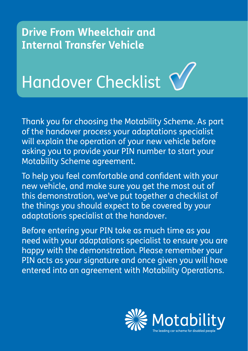## **Drive From Wheelchair and Internal Transfer Vehicle**



Thank you for choosing the Motability Scheme. As part of the handover process your adaptations specialist will explain the operation of your new vehicle before asking you to provide your PIN number to start your Motability Scheme agreement.

To help you feel comfortable and confident with your new vehicle, and make sure you get the most out of this demonstration, we've put together a checklist of the things you should expect to be covered by your adaptations specialist at the handover.

Before entering your PIN take as much time as you need with your adaptations specialist to ensure you are happy with the demonstration. Please remember your PIN acts as your signature and once given you will have entered into an agreement with Motability Operations.